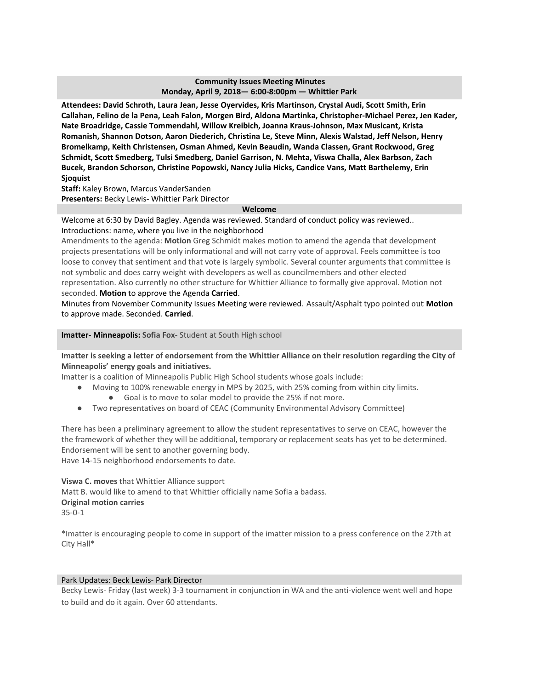## **Community Issues Meeting Minutes Monday, April 9, 2018— 6:00-8:00pm — Whittier Park**

**Attendees: David Schroth, Laura Jean, Jesse Oyervides, Kris Martinson, Crystal Audi, Scott Smith, Erin Callahan, Felino de la Pena, Leah Falon, Morgen Bird, Aldona Martinka, Christopher-Michael Perez, Jen Kader, Nate Broadridge, Cassie Tommendahl, Willow Kreibich, Joanna Kraus-Johnson, Max Musicant, Krista Romanish, Shannon Dotson, Aaron Diederich, Christina Le, Steve Minn, Alexis Walstad, Jeff Nelson, Henry Bromelkamp, Keith Christensen, Osman Ahmed, Kevin Beaudin, Wanda Classen, Grant Rockwood, Greg Schmidt, Scott Smedberg, Tulsi Smedberg, Daniel Garrison, N. Mehta, Viswa Challa, Alex Barbson, Zach Bucek, Brandon Schorson, Christine Popowski, Nancy Julia Hicks, Candice Vans, Matt Barthelemy, Erin Sjoquist**

**Staff:** Kaley Brown, Marcus VanderSanden **Presenters:** Becky Lewis- Whittier Park Director

#### **Welcome**

Welcome at 6:30 by David Bagley. Agenda was reviewed. Standard of conduct policy was reviewed.. Introductions: name, where you live in the neighborhood

Amendments to the agenda: **Motion** Greg Schmidt makes motion to amend the agenda that development projects presentations will be only informational and will not carry vote of approval. Feels committee is too loose to convey that sentiment and that vote is largely symbolic. Several counter arguments that committee is not symbolic and does carry weight with developers as well as councilmembers and other elected representation. Also currently no other structure for Whittier Alliance to formally give approval. Motion not seconded. **Motion** to approve the Agenda **Carried**.

Minutes from November Community Issues Meeting were reviewed. Assault/Asphalt typo pointed out **Motion** to approve made. Seconded. **Carried**.

**Imatter- Minneapolis: Sofia Fox-** Student at South High school

Imatter is seeking a letter of endorsement from the Whittier Alliance on their resolution regarding the City of **Minneapolis' energy goals and initiatives.**

Imatter is a coalition of Minneapolis Public High School students whose goals include:

- Moving to 100% renewable energy in MPS by 2025, with 25% coming from within city limits.
	- Goal is to move to solar model to provide the 25% if not more.
- Two representatives on board of CEAC (Community Environmental Advisory Committee)

There has been a preliminary agreement to allow the student representatives to serve on CEAC, however the the framework of whether they will be additional, temporary or replacement seats has yet to be determined. Endorsement will be sent to another governing body. Have 14-15 neighborhood endorsements to date.

**Viswa C. moves** that Whittier Alliance support Matt B. would like to amend to that Whittier officially name Sofia a badass. **Original motion carries** 35-0-1

\*Imatter is encouraging people to come in support of the imatter mission to a press conference on the 27th at City Hall\*

## Park Updates: Beck Lewis- Park Director

Becky Lewis- Friday (last week) 3-3 tournament in conjunction in WA and the anti-violence went well and hope to build and do it again. Over 60 attendants.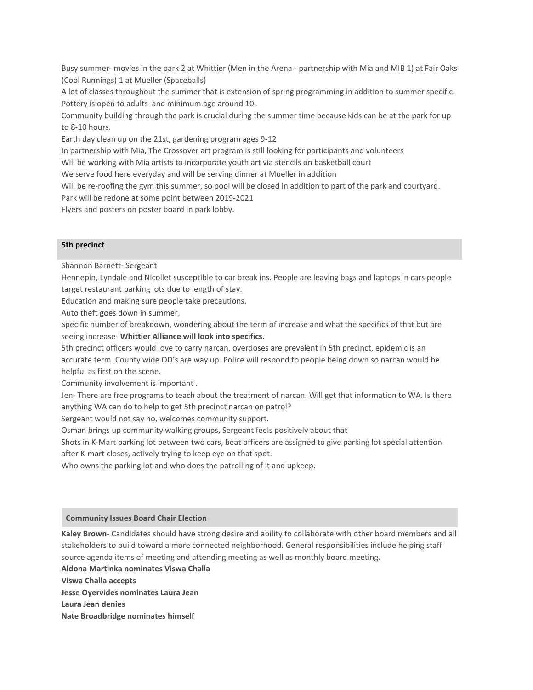Busy summer- movies in the park 2 at Whittier (Men in the Arena - partnership with Mia and MIB 1) at Fair Oaks (Cool Runnings) 1 at Mueller (Spaceballs)

A lot of classes throughout the summer that is extension of spring programming in addition to summer specific. Pottery is open to adults and minimum age around 10.

Community building through the park is crucial during the summer time because kids can be at the park for up to 8-10 hours.

Earth day clean up on the 21st, gardening program ages 9-12

In partnership with Mia, The Crossover art program is still looking for participants and volunteers

Will be working with Mia artists to incorporate youth art via stencils on basketball court

We serve food here everyday and will be serving dinner at Mueller in addition

Will be re-roofing the gym this summer, so pool will be closed in addition to part of the park and courtyard. Park will be redone at some point between 2019-2021

Flyers and posters on poster board in park lobby.

### **5th precinct**

Shannon Barnett- Sergeant

Hennepin, Lyndale and Nicollet susceptible to car break ins. People are leaving bags and laptops in cars people target restaurant parking lots due to length of stay.

Education and making sure people take precautions.

Auto theft goes down in summer,

Specific number of breakdown, wondering about the term of increase and what the specifics of that but are seeing increase- **Whittier Alliance will look into specifics.**

5th precinct officers would love to carry narcan, overdoses are prevalent in 5th precinct, epidemic is an accurate term. County wide OD's are way up. Police will respond to people being down so narcan would be helpful as first on the scene.

Community involvement is important .

Jen- There are free programs to teach about the treatment of narcan. Will get that information to WA. Is there anything WA can do to help to get 5th precinct narcan on patrol?

Sergeant would not say no, welcomes community support.

Osman brings up community walking groups, Sergeant feels positively about that

Shots in K-Mart parking lot between two cars, beat officers are assigned to give parking lot special attention after K-mart closes, actively trying to keep eye on that spot.

Who owns the parking lot and who does the patrolling of it and upkeep.

#### **Community Issues Board Chair Election**

**Kaley Brown-** Candidates should have strong desire and ability to collaborate with other board members and all stakeholders to build toward a more connected neighborhood. General responsibilities include helping staff source agenda items of meeting and attending meeting as well as monthly board meeting.

**Aldona Martinka nominates Viswa Challa**

**Viswa Challa accepts**

**Jesse Oyervides nominates Laura Jean**

**Laura Jean denies**

**Nate Broadbridge nominates himself**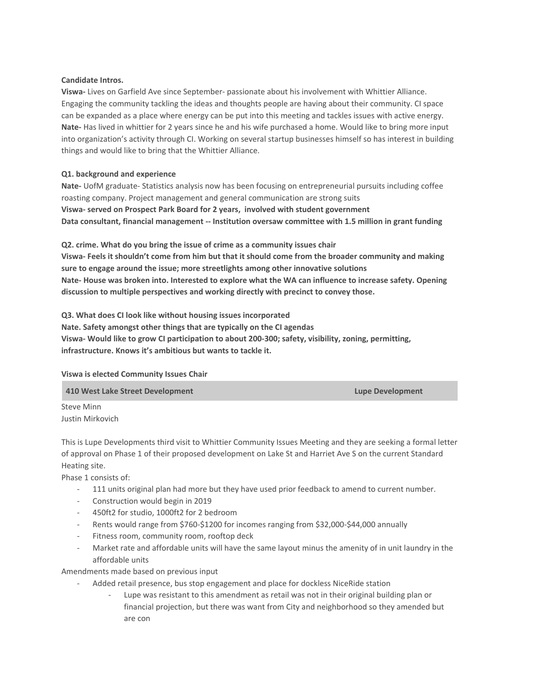## **Candidate Intros.**

**Viswa-** Lives on Garfield Ave since September- passionate about his involvement with Whittier Alliance. Engaging the community tackling the ideas and thoughts people are having about their community. CI space can be expanded as a place where energy can be put into this meeting and tackles issues with active energy. **Nate-** Has lived in whittier for 2 years since he and his wife purchased a home. Would like to bring more input into organization's activity through CI. Working on several startup businesses himself so has interest in building things and would like to bring that the Whittier Alliance.

# **Q1. background and experience**

**Nate-** UofM graduate- Statistics analysis now has been focusing on entrepreneurial pursuits including coffee roasting company. Project management and general communication are strong suits **Viswa- served on Prospect Park Board for 2 years, involved with student government Data consultant, financial management -- Institution oversaw committee with 1.5 million in grant funding**

**Q2. crime. What do you bring the issue of crime as a community issues chair** Viswa-Feels it shouldn't come from him but that it should come from the broader community and making **sure to engage around the issue; more streetlights among other innovative solutions Nate- House was broken into. Interested to explore what the WA can influence to increase safety. Opening discussion to multiple perspectives and working directly with precinct to convey those.**

**Q3. What does CI look like without housing issues incorporated Nate. Safety amongst other things that are typically on the CI agendas Viswa- Would like to grow CI participation to about 200-300; safety, visibility, zoning, permitting, infrastructure. Knows it's ambitious but wants to tackle it.**

### **Viswa is elected Community Issues Chair**

**410 West Lake Street Development Lupe Development**

Steve Minn Justin Mirkovich

This is Lupe Developments third visit to Whittier Community Issues Meeting and they are seeking a formal letter of approval on Phase 1 of their proposed development on Lake St and Harriet Ave S on the current Standard Heating site.

Phase 1 consists of:

- 111 units original plan had more but they have used prior feedback to amend to current number.
- Construction would begin in 2019
- 450ft2 for studio, 1000ft2 for 2 bedroom
- Rents would range from \$760-\$1200 for incomes ranging from \$32,000-\$44,000 annually
- Fitness room, community room, rooftop deck
- Market rate and affordable units will have the same layout minus the amenity of in unit laundry in the affordable units

Amendments made based on previous input

- Added retail presence, bus stop engagement and place for dockless NiceRide station
	- Lupe was resistant to this amendment as retail was not in their original building plan or financial projection, but there was want from City and neighborhood so they amended but are con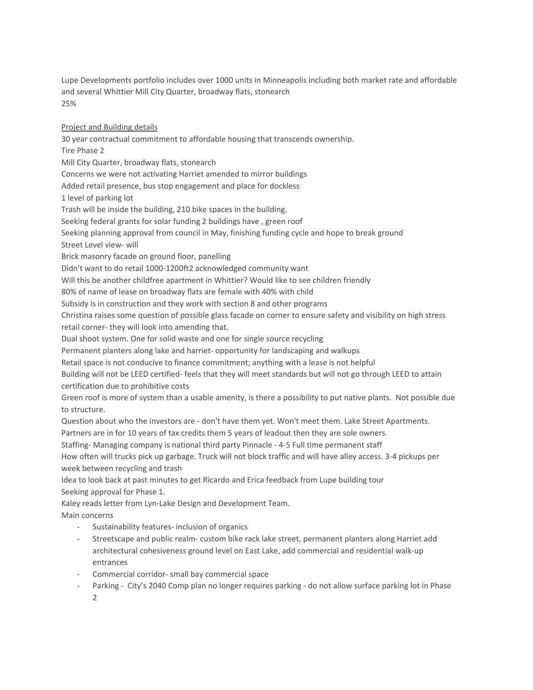Lupe Developments portfolio includes over 1000 units in Minneapolis including both market rate and affordable and several Whittier Mill City Quarter, broadway flats, stonearch 25%

Project and Building details 30 year contractual commitment to affordable housing that transcends ownership. Tire Phase 2 Mill City Quarter, broadway flats, stonearch Concerns we were not activating Harriet amended to mirror buildings Added retail presence, bus stop engagement and place for dockless 1 level of parking lot Trash will be inside the building, 210 bike spaces in the building. Seeking federal grants for solar funding 2 buildings have , green roof Seeking planning approval from council in May, finishing funding cycle and hope to break ground Street Level view- will Brick masonry facade on ground floor, panelling Didn't want to do retail 1000-1200ft2 acknowledged community want Will this be another childfree apartment in Whittier? Would like to see children friendly 80% of name of lease on broadway flats are female with 40% with child Subsidy is in construction and they work with section 8 and other programs Christina raises some question of possible glass facade on corner to ensure safety and visibility on high stress

retail corner- they will look into amending that.

Dual shoot system. One for solid waste and one for single source recycling

Permanent planters along lake and harriet- opportunity for landscaping and walkups

Retail space is not conducive to finance commitment; anything with a lease is not helpful

Building will not be LEED certified- feels that they will meet standards but will not go through LEED to attain certification due to prohibitive costs

Green roof is more of system than a usable amenity, is there a possibility to put native plants. Not possible due to structure.

Question about who the investors are - don't have them yet. Won't meet them. Lake Street Apartments.

Partners are in for 10 years of tax credits them 5 years of leadout then they are sole owners.

Staffing- Managing company is national third party Pinnacle - 4-5 Full time permanent staff

How often will trucks pick up garbage. Truck will not block traffic and will have alley access. 3-4 pickups per week between recycling and trash

Idea to look back at past minutes to get Ricardo and Erica feedback from Lupe building tour Seeking approval for Phase 1.

Kaley reads letter from Lyn-Lake Design and Development Team. Main concerns

- Sustainability features- inclusion of organics
- Streetscape and public realm- custom bike rack lake street, permanent planters along Harriet add architectural cohesiveness ground level on East Lake, add commercial and residential walk-up entrances
- Commercial corridor- small bay commercial space
- Parking City's 2040 Comp plan no longer requires parking do not allow surface parking lot in Phase 2